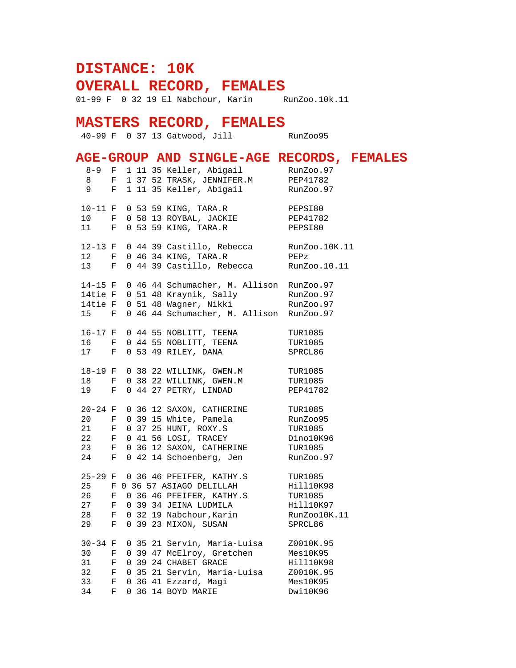## **DISTANCE: 10K**

**OVERALL RECORD, FEMALES**

01-99 F 0 32 19 El Nabchour, Karin RunZoo.10k.11

## **MASTERS RECORD, FEMALES**

40-99 F 0 37 13 Gatwood, Jill RunZoo95

## **AGE-GROUP AND SINGLE-AGE RECORDS, FEMALES**

| $8 - 9$                                                                   | F            |  | 1 11 35 Keller, Abigail                                                                        | RunZoo.97       |
|---------------------------------------------------------------------------|--------------|--|------------------------------------------------------------------------------------------------|-----------------|
| 8                                                                         | F            |  | 1 37 52 TRASK, JENNIFER.M PEP41782                                                             |                 |
| $9^{\circ}$                                                               | $\mathbf{F}$ |  | 1 11 35 Keller, Abigail                                                                        | RunZoo.97       |
|                                                                           |              |  |                                                                                                |                 |
| $10-11$ F                                                                 |              |  |                                                                                                | PEPSI80         |
| 10 F                                                                      |              |  |                                                                                                | PEP41782        |
| $11$ F                                                                    |              |  | 0 53 59 KING, TARA.R<br>0 58 13 ROYBAL, JACKIE<br>0 53 59 KING, TARA.R<br>0 53 59 KING, TARA.R | PEPSI80         |
|                                                                           |              |  |                                                                                                |                 |
| 12-13 F                                                                   |              |  | 0 44 39 Castillo, Rebecca RunZoo.10K.11                                                        |                 |
| 12 F                                                                      |              |  | 0 46 34 KING, TARA.R                                                                           | $\mathtt{PEPz}$ |
| 13 F                                                                      |              |  | 0 44 39 Castillo, Rebecca RunZoo.10.11                                                         |                 |
|                                                                           |              |  |                                                                                                |                 |
| 14-15 F                                                                   |              |  | 0 46 44 Schumacher, M. Allison RunZoo.97                                                       |                 |
|                                                                           |              |  |                                                                                                |                 |
|                                                                           |              |  | 14tie F 0 51 48 Kraynik, Sally RunZoo.97<br>14tie F 0 51 48 Wagner, Nikki RunZoo.97            |                 |
| 15 F                                                                      |              |  | 0 46 44 Schumacher, M. Allison RunZoo.97                                                       |                 |
|                                                                           |              |  |                                                                                                |                 |
| 16-17 F                                                                   |              |  | 0 44 55 NOBLITT, TEENA                                                                         | TUR1085         |
| 16 F                                                                      |              |  | 0 44 55 NOBLITT, TEENA                                                                         | <b>TUR1085</b>  |
| 17 F                                                                      |              |  | 0 53 49 RILEY, DANA                                                                            | SPRCL86         |
|                                                                           |              |  |                                                                                                |                 |
| 18-19 F                                                                   |              |  | 0 38 22 WILLINK, GWEN.M                                                                        | TUR1085         |
| 18                                                                        | F            |  | 0 38 22 WILLINK, GWEN.M TUR1085                                                                |                 |
| 19 F                                                                      |              |  | 0 44 27 PETRY, LINDAD                                                                          | PEP41782        |
|                                                                           |              |  |                                                                                                |                 |
| $20 - 24$ F                                                               |              |  | 0 36 12 SAXON, CATHERINE TUR1085                                                               |                 |
| 20 F                                                                      |              |  |                                                                                                | RunZoo95        |
| $21$ F                                                                    |              |  | 0 39 15 White, Pamela<br>0 37 25 HUNT, ROXY.S<br>0 37 25 HUNT, ROXY.S                          | <b>TUR1085</b>  |
| 22 F                                                                      |              |  | 0 41 56 LOSI, TRACEY                                                                           | Dino10K96       |
| 23                                                                        | $\mathbf{F}$ |  |                                                                                                | TUR1085         |
| 24 F                                                                      |              |  | 0 36 12 SAXON, CATHERINE<br>0 42 14 Schoenberg, Jen                                            | RunZoo.97       |
|                                                                           |              |  |                                                                                                |                 |
|                                                                           |              |  | 25-29 F 0 36 46 PFEIFER, KATHY.S TUR1085                                                       |                 |
|                                                                           |              |  |                                                                                                |                 |
| 26                                                                        | F            |  | 0 36 46 PFEIFER, KATHY.S                                                                       | <b>TUR1085</b>  |
| 27                                                                        | F            |  |                                                                                                | Hill10K97       |
| 28                                                                        | $\mathbf{F}$ |  | 0 32 19 Nabchour, Karin<br>0 39 23 MIXON CUCCO                                                 | RunZoo10K.11    |
| 29                                                                        | F            |  |                                                                                                | SPRCL86         |
|                                                                           |              |  |                                                                                                |                 |
| $30 - 34$ F                                                               |              |  | 0 35 21 Servin, Maria-Luisa 20010K.95                                                          |                 |
| 30                                                                        | F            |  | 0 39 47 McElroy, Gretchen                                                                      | Mes10K95        |
| 31                                                                        |              |  | 0 39 24 CHABET GRACE                                                                           | Hill10K98       |
| $\begin{array}{ccccc} 31 & & & \text{F} \\ 32 & & & \text{F} \end{array}$ |              |  | 0 35 21 Servin, Maria-Luisa                                                                    | Z0010K.95       |
| 33 F                                                                      |              |  | 0 36 41 Ezzard, Magi                                                                           | Mes10K95        |
| 34                                                                        | $\mathbf{F}$ |  | 0 36 14 BOYD MARIE                                                                             | Dwi10K96        |
|                                                                           |              |  |                                                                                                |                 |